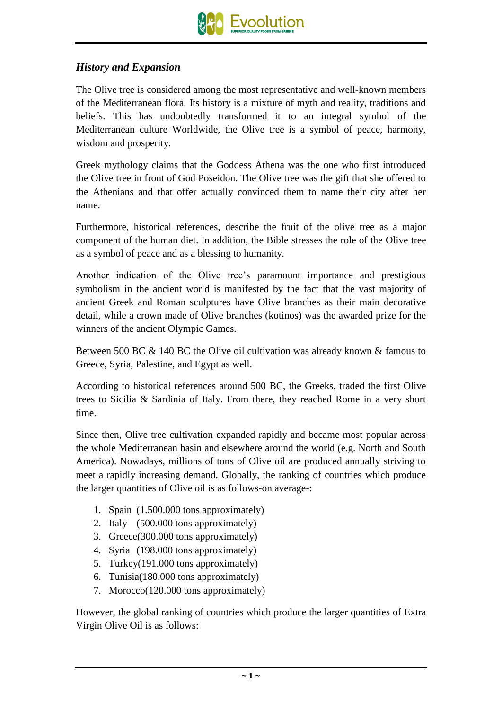

## *History and Expansion*

The Olive tree is considered among the most representative and well-known members of the Mediterranean flora. Its history is a mixture of myth and reality, traditions and beliefs. This has undoubtedly transformed it to an integral symbol of the Mediterranean culture Worldwide, the Olive tree is a symbol of peace, harmony, wisdom and prosperity.

Greek mythology claims that the Goddess Athena was the one who first introduced the Olive tree in front of God Poseidon. The Olive tree was the gift that she offered to the Athenians and that offer actually convinced them to name their city after her name.

Furthermore, historical references, describe the fruit of the olive tree as a major component of the human diet. In addition, the Bible stresses the role of the Olive tree as a symbol of peace and as a blessing to humanity.

Another indication of the Olive tree's paramount importance and prestigious symbolism in the ancient world is manifested by the fact that the vast majority of ancient Greek and Roman sculptures have Olive branches as their main decorative detail, while a crown made of Olive branches (kotinos) was the awarded prize for the winners of the ancient Olympic Games.

Between 500 BC & 140 BC the Olive oil cultivation was already known & famous to Greece, Syria, Palestine, and Egypt as well.

According to historical references around 500 BC, the Greeks, traded the first Olive trees to Sicilia & Sardinia of Italy. From there, they reached Rome in a very short time.

Since then, Olive tree cultivation expanded rapidly and became most popular across the whole Mediterranean basin and elsewhere around the world (e.g. North and South America). Nowadays, millions of tons of Olive oil are produced annually striving to meet a rapidly increasing demand. Globally, the ranking of countries which produce the larger quantities of Olive oil is as follows-on average-:

- 1. Spain (1.500.000 tons approximately)
- 2. Italy (500.000 tons approximately)
- 3. Greece(300.000 tons approximately)
- 4. Syria (198.000 tons approximately)
- 5. Turkey(191.000 tons approximately)
- 6. Tunisia(180.000 tons approximately)
- 7. Morocco(120.000 tons approximately)

However, the global ranking of countries which produce the larger quantities of Extra Virgin Olive Oil is as follows: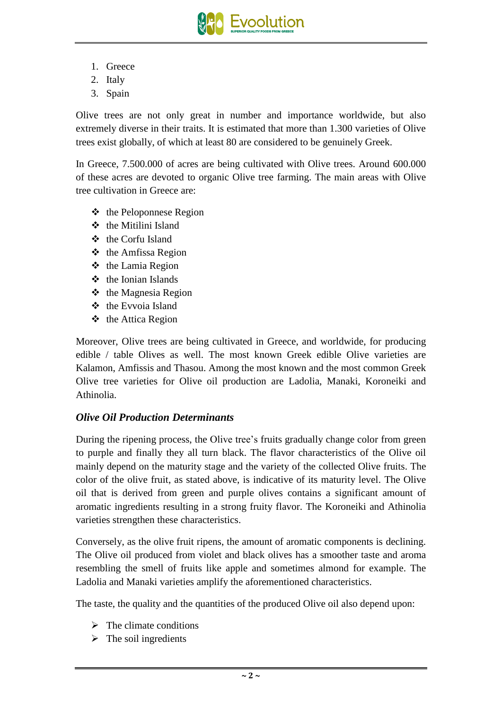

- 1. Greece
- 2. Italy
- 3. Spain

Olive trees are not only great in number and importance worldwide, but also extremely diverse in their traits. It is estimated that more than 1.300 varieties of Olive trees exist globally, of which at least 80 are considered to be genuinely Greek.

In Greece, 7.500.000 of acres are being cultivated with Olive trees. Around 600.000 of these acres are devoted to organic Olive tree farming. The main areas with Olive tree cultivation in Greece are:

- $\triangle$  the Peloponnese Region
- $\div$  the Mitilini Island
- **❖** the Corfu Island
- $\triangleleft$  the Amfissa Region
- $\triangle$  the Lamia Region
- $\div$  the Ionian Islands
- $\triangle$  the Magnesia Region
- $\triangle$  the Evvoia Island
- $\triangle$  the Attica Region

Moreover, Olive trees are being cultivated in Greece, and worldwide, for producing edible / table Olives as well. The most known Greek edible Olive varieties are Kalamon, Amfissis and Thasou. Among the most known and the most common Greek Olive tree varieties for Olive oil production are Ladolia, Manaki, Koroneiki and Athinolia.

## *Olive Oil Production Determinants*

During the ripening process, the Olive tree's fruits gradually change color from green to purple and finally they all turn black. The flavor characteristics of the Olive oil mainly depend on the maturity stage and the variety of the collected Olive fruits. The color of the olive fruit, as stated above, is indicative of its maturity level. The Olive oil that is derived from green and purple olives contains a significant amount of aromatic ingredients resulting in a strong fruity flavor. The Koroneiki and Athinolia varieties strengthen these characteristics.

Conversely, as the olive fruit ripens, the amount of aromatic components is declining. The Olive oil produced from violet and black olives has a smoother taste and aroma resembling the smell of fruits like apple and sometimes almond for example. The Ladolia and Manaki varieties amplify the aforementioned characteristics.

The taste, the quality and the quantities of the produced Olive oil also depend upon:

- $\triangleright$  The climate conditions
- $\triangleright$  The soil ingredients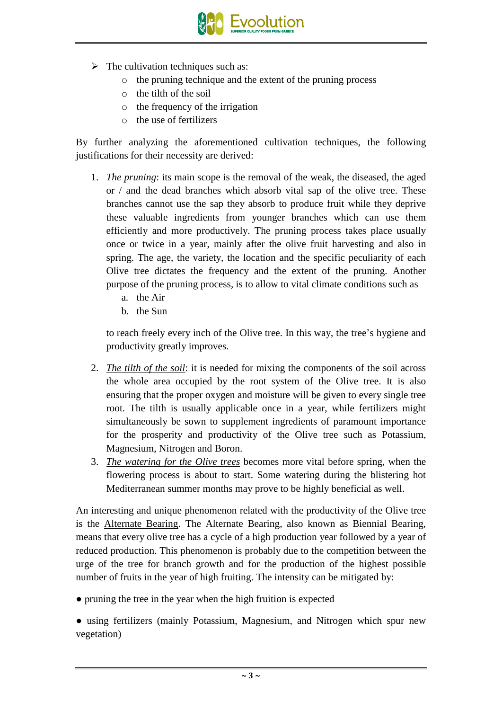

- $\triangleright$  The cultivation techniques such as:
	- o the pruning technique and the extent of the pruning process
	- o the tilth of the soil
	- o the frequency of the irrigation
	- o the use of fertilizers

By further analyzing the aforementioned cultivation techniques, the following justifications for their necessity are derived:

- 1. *The pruning*: its main scope is the removal of the weak, the diseased, the aged or / and the dead branches which absorb vital sap of the olive tree. These branches cannot use the sap they absorb to produce fruit while they deprive these valuable ingredients from younger branches which can use them efficiently and more productively. The pruning process takes place usually once or twice in a year, mainly after the olive fruit harvesting and also in spring. The age, the variety, the location and the specific peculiarity of each Olive tree dictates the frequency and the extent of the pruning. Another purpose of the pruning process, is to allow to vital climate conditions such as
	- a. the Air
	- b. the Sun

to reach freely every inch of the Olive tree. In this way, the tree's hygiene and productivity greatly improves.

- 2. *The tilth of the soil*: it is needed for mixing the components of the soil across the whole area occupied by the root system of the Olive tree. It is also ensuring that the proper oxygen and moisture will be given to every single tree root. The tilth is usually applicable once in a year, while fertilizers might simultaneously be sown to supplement ingredients of paramount importance for the prosperity and productivity of the Olive tree such as Potassium, Magnesium, Nitrogen and Boron.
- 3. *The watering for the Olive trees* becomes more vital before spring, when the flowering process is about to start. Some watering during the blistering hot Mediterranean summer months may prove to be highly beneficial as well.

An interesting and unique phenomenon related with the productivity of the Olive tree is the Alternate Bearing. The Alternate Bearing, also known as Biennial Bearing, means that every olive tree has a cycle of a high production year followed by a year of reduced production. This phenomenon is probably due to the competition between the urge of the tree for branch growth and for the production of the highest possible number of fruits in the year of high fruiting. The intensity can be mitigated by:

• pruning the tree in the year when the high fruition is expected

• using fertilizers (mainly Potassium, Magnesium, and Nitrogen which spur new vegetation)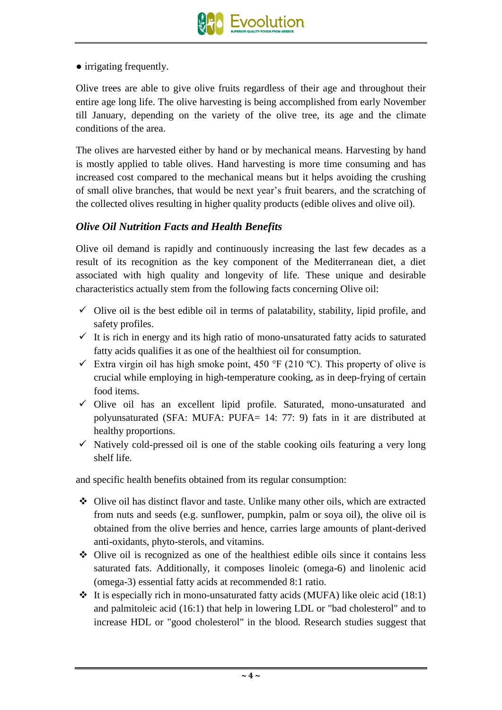• irrigating frequently.

Olive trees are able to give olive fruits regardless of their age and throughout their entire age long life. The olive harvesting is being accomplished from early November till January, depending on the variety of the olive tree, its age and the climate conditions of the area.

The olives are harvested either by hand or by mechanical means. Harvesting by hand is mostly applied to table olives. Hand harvesting is more time consuming and has increased cost compared to the mechanical means but it helps avoiding the crushing of small olive branches, that would be next year's fruit bearers, and the scratching of the collected olives resulting in higher quality products (edible olives and olive oil).

## *Olive Oil Nutrition Facts and Health Benefits*

Olive oil demand is rapidly and continuously increasing the last few decades as a result of its recognition as the key component of the Mediterranean diet, a diet associated with high quality and longevity of life. These unique and desirable characteristics actually stem from the following facts concerning Olive oil:

- $\checkmark$  Olive oil is the best edible oil in terms of palatability, stability, lipid profile, and safety profiles.
- $\checkmark$  It is rich in energy and its high ratio of mono-unsaturated fatty acids to saturated fatty acids qualifies it as one of the healthiest oil for consumption.
- $\checkmark$  Extra virgin oil has high smoke point, 450 °F (210 °C). This property of olive is crucial while employing in high-temperature cooking, as in deep-frying of certain food items.
- $\checkmark$  Olive oil has an excellent lipid profile. Saturated, mono-unsaturated and polyunsaturated (SFA: MUFA: PUFA= 14: 77: 9) fats in it are distributed at healthy proportions.
- $\checkmark$  Natively cold-pressed oil is one of the stable cooking oils featuring a very long shelf life.

and specific health benefits obtained from its regular consumption:

- Olive oil has distinct flavor and taste. Unlike many other oils, which are extracted from nuts and seeds (e.g. sunflower, pumpkin, palm or soya oil), the olive oil is obtained from the olive berries and hence, carries large amounts of plant-derived anti-oxidants, phyto-sterols, and vitamins.
- Olive oil is recognized as one of the healthiest edible oils since it contains less saturated fats. Additionally, it composes linoleic (omega-6) and linolenic acid (omega-3) essential fatty acids at recommended 8:1 ratio.
- $\cdot$  It is especially rich in mono-unsaturated fatty acids (MUFA) like oleic acid (18:1) and palmitoleic acid (16:1) that help in lowering LDL or "bad cholesterol" and to increase HDL or "good cholesterol" in the blood. Research studies suggest that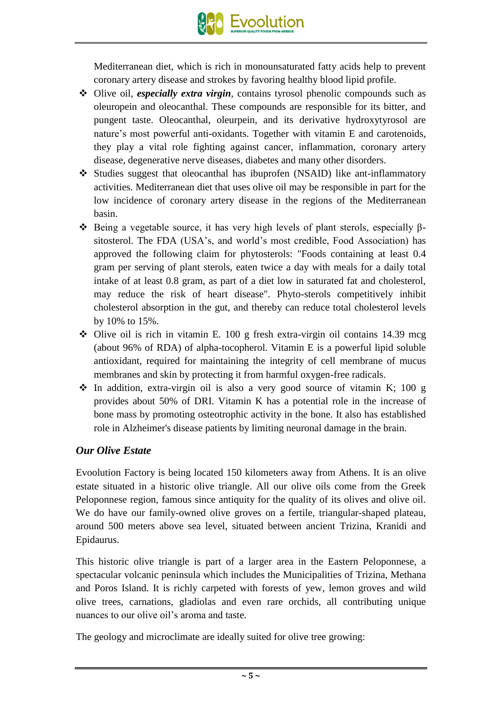

Mediterranean diet, which is rich in monounsaturated fatty acids help to prevent coronary artery disease and strokes by favoring healthy blood lipid profile.

- Olive oil, *especially extra virgin*, contains tyrosol phenolic compounds such as oleuropein and oleocanthal. These compounds are responsible for its bitter, and pungent taste. Oleocanthal, oleurpein, and its derivative hydroxytyrosol are nature's most powerful anti-oxidants. Together with vitamin E and carotenoids, they play a vital role fighting against cancer, inflammation, coronary artery disease, degenerative nerve diseases, diabetes and many other disorders.
- Studies suggest that oleocanthal has ibuprofen (NSAID) like ant-inflammatory activities. Mediterranean diet that uses olive oil may be responsible in part for the low incidence of coronary artery disease in the regions of the Mediterranean basin.
- $\div$  Being a vegetable source, it has very high levels of plant sterols, especially βsitosterol. The FDA (USA's, and world's most credible, Food Association) has approved the following claim for phytosterols: "Foods containing at least 0.4 gram per serving of plant sterols, eaten twice a day with meals for a daily total intake of at least 0.8 gram, as part of a diet low in saturated fat and cholesterol, may reduce the risk of heart disease". Phyto-sterols competitively inhibit cholesterol absorption in the gut, and thereby can reduce total cholesterol levels by 10% to 15%.
- $\div$  Olive oil is rich in vitamin E. 100 g fresh extra-virgin oil contains 14.39 mcg (about 96% of RDA) of alpha-tocopherol. Vitamin E is a powerful lipid soluble antioxidant, required for maintaining the integrity of cell membrane of mucus membranes and skin by protecting it from harmful oxygen-free radicals.
- $\cdot$  In addition, extra-virgin oil is also a very good source of vitamin K; 100 g provides about 50% of DRI. Vitamin K has a potential role in the increase of bone mass by promoting osteotrophic activity in the bone. It also has established role in Alzheimer's disease patients by limiting neuronal damage in the brain.

## *Our Olive Estate*

Evoolution Factory is being located 150 kilometers away from Athens. It is an olive estate situated in a historic olive triangle. All our olive oils come from the Greek Peloponnese region, famous since antiquity for the quality of its olives and olive oil. We do have our family-owned olive groves on a fertile, triangular-shaped plateau, around 500 meters above sea level, situated between ancient Trizina, Kranidi and Epidaurus.

This historic olive triangle is part of a larger area in the Eastern Peloponnese, a spectacular volcanic peninsula which includes the Municipalities of Trizina, Methana and Poros Island. It is richly carpeted with forests of yew, lemon groves and wild olive trees, carnations, gladiolas and even rare orchids, all contributing unique nuances to our olive oil's aroma and taste.

The geology and microclimate are ideally suited for olive tree growing: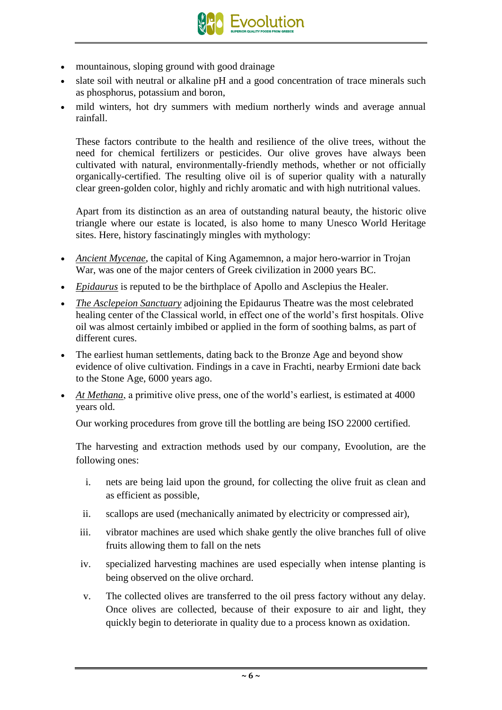

- mountainous, sloping ground with good drainage
- slate soil with neutral or alkaline pH and a good concentration of trace minerals such as phosphorus, potassium and boron,
- mild winters, hot dry summers with medium northerly winds and average annual rainfall.

These factors contribute to the health and resilience of the olive trees, without the need for chemical fertilizers or pesticides. Our olive groves have always been cultivated with natural, environmentally-friendly methods, whether or not officially organically-certified. The resulting olive oil is of superior quality with a naturally clear green-golden color, highly and richly aromatic and with high nutritional values.

Apart from its distinction as an area of outstanding natural beauty, the historic olive triangle where our estate is located, is also home to many Unesco World Heritage sites. Here, history fascinatingly mingles with mythology:

- *Ancient Mycenae*, the capital of King Agamemnon, a major hero-warrior in Trojan War, was one of the major centers of Greek civilization in 2000 years BC.
- *Epidaurus* is reputed to be the birthplace of Apollo and Asclepius the Healer.
- *The Asclepeion Sanctuary* adjoining the Epidaurus Theatre was the most celebrated healing center of the Classical world, in effect one of the world's first hospitals. Olive oil was almost certainly imbibed or applied in the form of soothing balms, as part of different cures.
- The earliest human settlements, dating back to the Bronze Age and beyond show evidence of olive cultivation. Findings in a cave in Frachti, nearby Ermioni date back to the Stone Age, 6000 years ago.
- *At Methana*, a primitive olive press, one of the world's earliest, is estimated at 4000 years old.

Our working procedures from grove till the bottling are being ISO 22000 certified.

The harvesting and extraction methods used by our company, Evoolution, are the following ones:

- i. nets are being laid upon the ground, for collecting the olive fruit as clean and as efficient as possible,
- ii. scallops are used (mechanically animated by electricity or compressed air),
- iii. vibrator machines are used which shake gently the olive branches full of olive fruits allowing them to fall on the nets
- iv. specialized harvesting machines are used especially when intense planting is being observed on the olive orchard.
- v. The collected olives are transferred to the oil press factory without any delay. Once olives are collected, because of their exposure to air and light, they quickly begin to deteriorate in quality due to a process known as oxidation.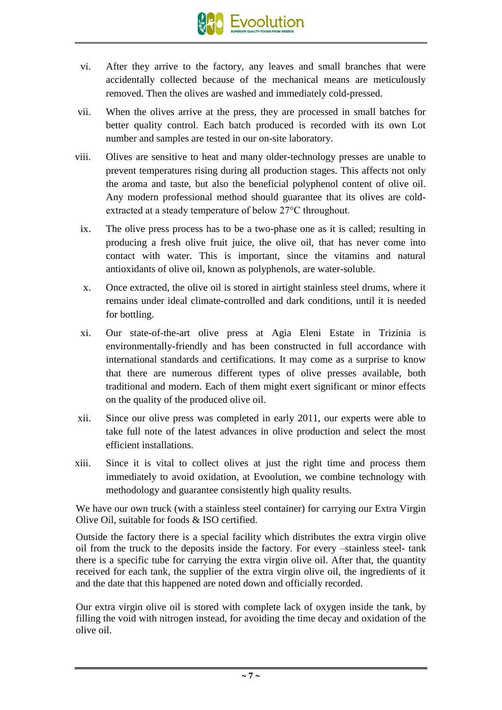

- vi. After they arrive to the factory, any leaves and small branches that were accidentally collected because of the mechanical means are meticulously removed. Then the olives are washed and immediately cold-pressed.
- vii. When the olives arrive at the press, they are processed in small batches for better quality control. Each batch produced is recorded with its own Lot number and samples are tested in our on-site laboratory.
- viii. Olives are sensitive to heat and many older-technology presses are unable to prevent temperatures rising during all production stages. This affects not only the aroma and taste, but also the beneficial polyphenol content of olive oil. Any modern professional method should guarantee that its olives are coldextracted at a steady temperature of below 27°C throughout.
	- ix. The olive press process has to be a two-phase one as it is called; resulting in producing a fresh olive fruit juice, the olive oil, that has never come into contact with water. This is important, since the vitamins and natural antioxidants of olive oil, known as polyphenols, are water-soluble.
	- x. Once extracted, the olive oil is stored in airtight stainless steel drums, where it remains under ideal climate-controlled and dark conditions, until it is needed for bottling.
	- xi. Our state-of-the-art olive press at Agia Eleni Estate in Trizinia is environmentally-friendly and has been constructed in full accordance with international standards and certifications. It may come as a surprise to know that there are numerous different types of olive presses available, both traditional and modern. Each of them might exert significant or minor effects on the quality of the produced olive oil.
- xii. Since our olive press was completed in early 2011, our experts were able to take full note of the latest advances in olive production and select the most efficient installations.
- xiii. Since it is vital to collect olives at just the right time and process them immediately to avoid oxidation, at Evoolution, we combine technology with methodology and guarantee consistently high quality results.

We have our own truck (with a stainless steel container) for carrying our Extra Virgin Olive Oil, suitable for foods & ISO certified.

Outside the factory there is a special facility which distributes the extra virgin olive oil from the truck to the deposits inside the factory. For every –stainless steel- tank there is a specific tube for carrying the extra virgin olive oil. After that, the quantity received for each tank, the supplier of the extra virgin olive oil, the ingredients of it and the date that this happened are noted down and officially recorded.

Our extra virgin olive oil is stored with complete lack of oxygen inside the tank, by filling the void with nitrogen instead, for avoiding the time decay and oxidation of the olive oil.